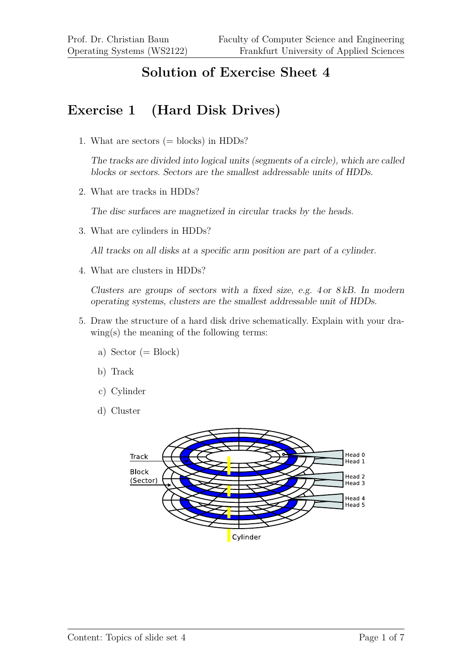#### **Solution of Exercise Sheet 4**

### **Exercise 1 (Hard Disk Drives)**

1. What are sectors  $(=$  blocks) in HDDs?

The tracks are divided into logical units (segments of a circle), which are called blocks or sectors. Sectors are the smallest addressable units of HDDs.

2. What are tracks in HDDs?

The disc surfaces are magnetized in circular tracks by the heads.

3. What are cylinders in HDDs?

All tracks on all disks at a specific arm position are part of a cylinder.

4. What are clusters in HDDs?

Clusters are groups of sectors with a fixed size, e.g. 4 or 8 kB. In modern operating systems, clusters are the smallest addressable unit of HDDs.

- 5. Draw the structure of a hard disk drive schematically. Explain with your drawing(s) the meaning of the following terms:
	- a) Sector  $(= Block)$
	- b) Track
	- c) Cylinder
	- d) Cluster

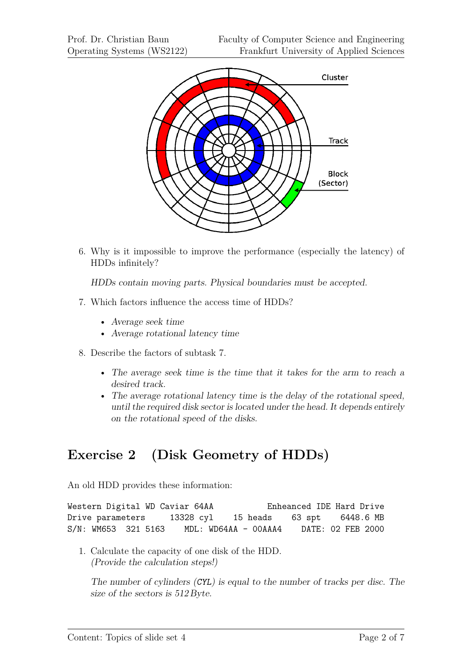

6. Why is it impossible to improve the performance (especially the latency) of HDDs infinitely?

HDDs contain moving parts. Physical boundaries must be accepted.

- 7. Which factors influence the access time of HDDs?
	- Average seek time
	- Average rotational latency time
- 8. Describe the factors of subtask 7.
	- The average seek time is the time that it takes for the arm to reach a desired track.
	- The average rotational latency time is the delay of the rotational speed, until the required disk sector is located under the head. It depends entirely on the rotational speed of the disks.

# **Exercise 2 (Disk Geometry of HDDs)**

An old HDD provides these information:

```
Western Digital WD Caviar 64AA Enheanced IDE Hard Drive
Drive parameters 13328 cyl 15 heads 63 spt 6448.6 MB
S/N: WM653 321 5163 MDL: WD64AA - 00AAA4 DATE: 02 FEB 2000
```
1. Calculate the capacity of one disk of the HDD. (Provide the calculation steps!)

The number of cylinders (CYL) is equal to the number of tracks per disc. The size of the sectors is 512 Byte.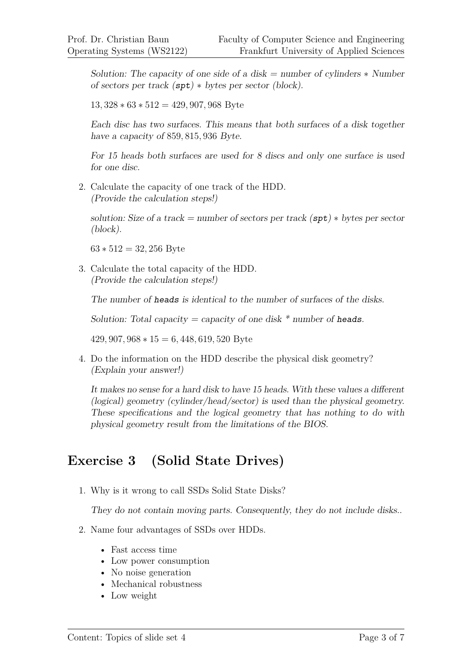Solution: The capacity of one side of a disk = number of cylinders  $*$  Number of sectors per track  $(\text{spt}) *$  bytes per sector (block).

13*,* 328 ∗ 63 ∗ 512 = 429*,* 907*,* 968 Byte

Each disc has two surfaces. This means that both surfaces of a disk together have a capacity of 859*,* 815*,* 936 Byte.

For 15 heads both surfaces are used for 8 discs and only one surface is used for one disc.

2. Calculate the capacity of one track of the HDD. (Provide the calculation steps!)

solution: Size of a track = number of sectors per track  $(\texttt{spt}) *$  bytes per sector (block).

63 ∗ 512 = 32*,* 256 Byte

3. Calculate the total capacity of the HDD. (Provide the calculation steps!)

The number of heads is identical to the number of surfaces of the disks.

Solution: Total capacity = capacity of one disk  $*$  number of heads.

429*,* 907*,* 968 ∗ 15 = 6*,* 448*,* 619*,* 520 Byte

4. Do the information on the HDD describe the physical disk geometry? (Explain your answer!)

It makes no sense for a hard disk to have 15 heads. With these values a different (logical) geometry (cylinder/head/sector) is used than the physical geometry. These specifications and the logical geometry that has nothing to do with physical geometry result from the limitations of the BIOS.

#### **Exercise 3 (Solid State Drives)**

1. Why is it wrong to call SSDs Solid State Disks?

They do not contain moving parts. Consequently, they do not include disks..

- 2. Name four advantages of SSDs over HDDs.
	- Fast access time
	- Low power consumption
	- No noise generation
	- Mechanical robustness
	- Low weight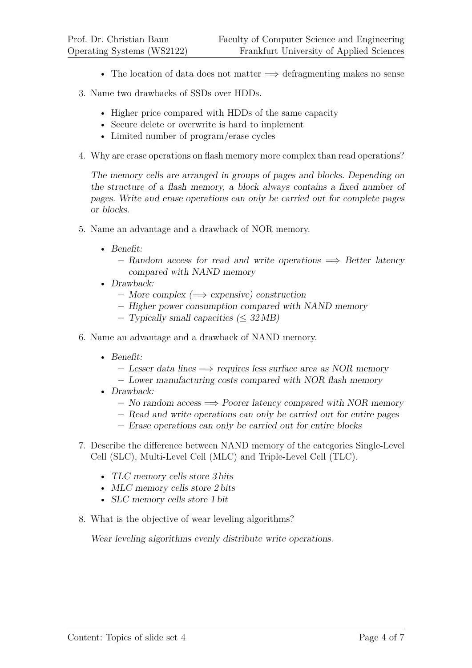- The location of data does not matter  $\implies$  defragmenting makes no sense
- 3. Name two drawbacks of SSDs over HDDs.
	- Higher price compared with HDDs of the same capacity
	- Secure delete or overwrite is hard to implement
	- Limited number of program/erase cycles
- 4. Why are erase operations on flash memory more complex than read operations?

The memory cells are arranged in groups of pages and blocks. Depending on the structure of a flash memory, a block always contains a fixed number of pages. Write and erase operations can only be carried out for complete pages or blocks.

- 5. Name an advantage and a drawback of NOR memory.
	- Benefit:
		- $-$  Random access for read and write operations  $\implies$  Better latency compared with NAND memory
	- Drawback:
		- **–** More complex (=⇒ expensive) construction
		- **–** Higher power consumption compared with NAND memory
		- **–** Typically small capacities (≤ 32 MB)
- 6. Name an advantage and a drawback of NAND memory.
	- Benefit:
		- **–** Lesser data lines =⇒ requires less surface area as NOR memory
		- **–** Lower manufacturing costs compared with NOR flash memory
	- Drawback:
		- **–** No random access =⇒ Poorer latency compared with NOR memory
		- **–** Read and write operations can only be carried out for entire pages
		- **–** Erase operations can only be carried out for entire blocks
- 7. Describe the difference between NAND memory of the categories Single-Level Cell (SLC), Multi-Level Cell (MLC) and Triple-Level Cell (TLC).
	- TLC memory cells store 3 bits
	- MLC memory cells store 2 bits
	- SLC memory cells store 1 bit
- 8. What is the objective of wear leveling algorithms?

Wear leveling algorithms evenly distribute write operations.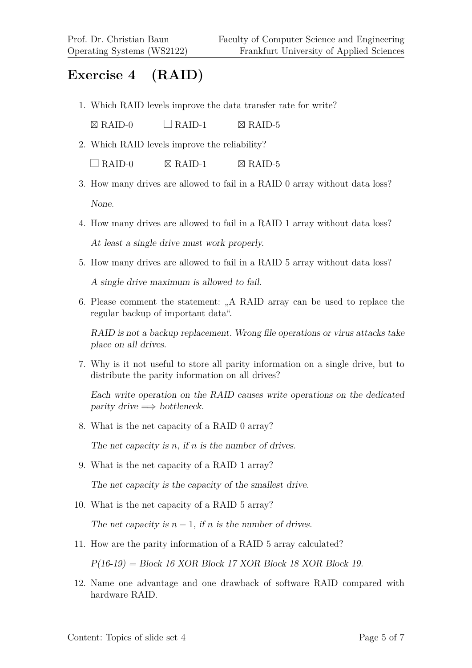### **Exercise 4 (RAID)**

1. Which RAID levels improve the data transfer rate for write?

 $\boxtimes$  RAID-0  $\Box$  RAID-1  $\boxtimes$  RAID-5

2. Which RAID levels improve the reliability?

 $\Box$  RAID-0  $\boxtimes$  RAID-1  $\boxtimes$  RAID-5

- 3. How many drives are allowed to fail in a RAID 0 array without data loss? None.
- 4. How many drives are allowed to fail in a RAID 1 array without data loss? At least a single drive must work properly.
- 5. How many drives are allowed to fail in a RAID 5 array without data loss?

A single drive maximum is allowed to fail.

6. Please comment the statement: "A RAID array can be used to replace the regular backup of important data".

RAID is not a backup replacement. Wrong file operations or virus attacks take place on all drives.

7. Why is it not useful to store all parity information on a single drive, but to distribute the parity information on all drives?

Each write operation on the RAID causes write operations on the dedicated parity drive  $\Longrightarrow$  bottleneck.

8. What is the net capacity of a RAID 0 array?

The net capacity is *n*, if *n* is the number of drives.

9. What is the net capacity of a RAID 1 array?

The net capacity is the capacity of the smallest drive.

10. What is the net capacity of a RAID 5 array?

The net capacity is  $n-1$ , if *n* is the number of drives.

11. How are the parity information of a RAID 5 array calculated?

 $P(16-19) = Block 16 XOR Block 17 XOR Block 18 XOR Block 19.$ 

12. Name one advantage and one drawback of software RAID compared with hardware RAID.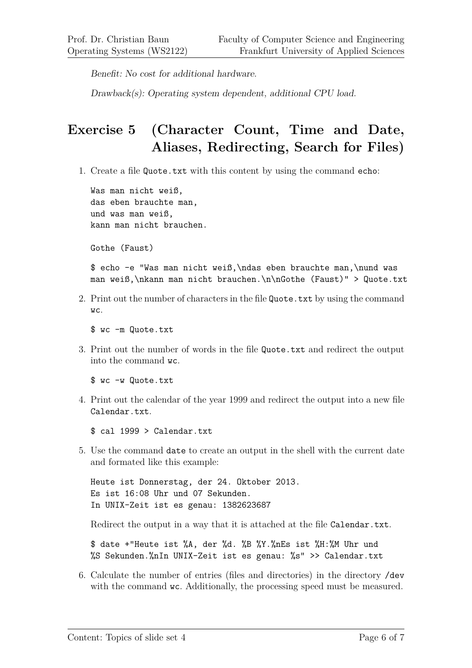Benefit: No cost for additional hardware.

Drawback(s): Operating system dependent, additional CPU load.

# **Exercise 5 (Character Count, Time and Date, Aliases, Redirecting, Search for Files)**

1. Create a file Quote.txt with this content by using the command echo:

Was man nicht weiß, das eben brauchte man, und was man weiß, kann man nicht brauchen.

Gothe (Faust)

\$ echo -e "Was man nicht weiß,\ndas eben brauchte man,\nund was man weiß,\nkann man nicht brauchen.\n\nGothe (Faust)" > Quote.txt

2. Print out the number of characters in the file Quote.txt by using the command wc.

\$ wc -m Quote.txt

3. Print out the number of words in the file Quote.txt and redirect the output into the command wc.

\$ wc -w Quote.txt

4. Print out the calendar of the year 1999 and redirect the output into a new file Calendar.txt.

\$ cal 1999 > Calendar.txt

5. Use the command date to create an output in the shell with the current date and formated like this example:

Heute ist Donnerstag, der 24. Oktober 2013. Es ist 16:08 Uhr und 07 Sekunden. In UNIX-Zeit ist es genau: 1382623687

Redirect the output in a way that it is attached at the file Calendar.txt.

\$ date +"Heute ist %A, der %d. %B %Y.%nEs ist %H:%M Uhr und %S Sekunden.%nIn UNIX-Zeit ist es genau: %s" >> Calendar.txt

6. Calculate the number of entries (files and directories) in the directory /dev with the command  $wc$ . Additionally, the processing speed must be measured.